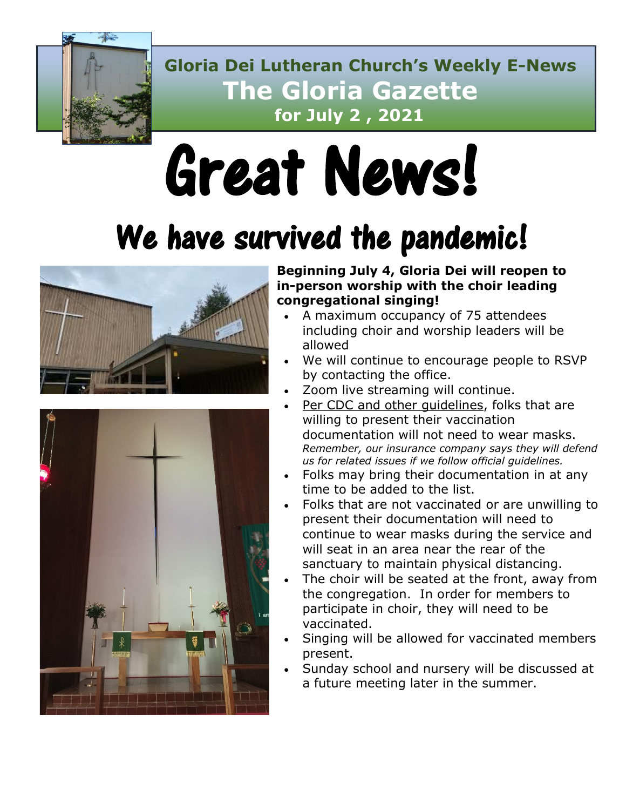

 **Gloria Dei Lutheran Church's Weekly E-News The Gloria Gazette for July 2 , 2021**

# Great News!

# We have survived the pandemic!





**Beginning July 4, Gloria Dei will reopen to in-person worship with the choir leading congregational singing!**

- A maximum occupancy of 75 attendees including choir and worship leaders will be allowed
- We will continue to encourage people to RSVP by contacting the office.
- Zoom live streaming will continue.
- Per CDC and other guidelines, folks that are willing to present their vaccination documentation will not need to wear masks. *Remember, our insurance company says they will defend us for related issues if we follow official guidelines.*
- Folks may bring their documentation in at any time to be added to the list.
- Folks that are not vaccinated or are unwilling to present their documentation will need to continue to wear masks during the service and will seat in an area near the rear of the sanctuary to maintain physical distancing.
- The choir will be seated at the front, away from the congregation. In order for members to participate in choir, they will need to be vaccinated.
- Singing will be allowed for vaccinated members present.
- Sunday school and nursery will be discussed at a future meeting later in the summer.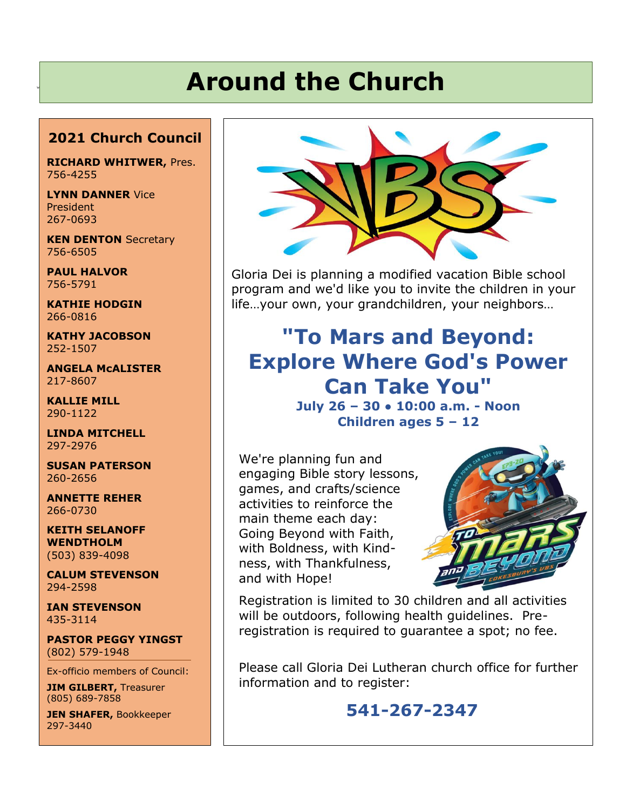# **Around the Church**

### **2021 Church Council**

**RICHARD WHITWER,** Pres. 756-4255

**LYNN DANNER** Vice President 267-0693

**KEN DENTON Secretary** 756-6505

**PAUL HALVOR** 756-5791

**KATHIE HODGIN** 266-0816

**KATHY JACOBSON** 252-1507

**ANGELA McALISTER** 217-8607

**KALLIE MILL** 290-1122

**LINDA MITCHELL** 297-2976

**SUSAN PATERSON** 260-2656

**ANNETTE REHER** 266-0730

**KEITH SELANOFF WENDTHOLM** (503) 839-4098

**CALUM STEVENSON** 294-2598

**IAN STEVENSON** 435-3114

**PASTOR PEGGY YINGST** (802) 579-1948

Ex-officio members of Council:

**JIM GILBERT,** Treasurer (805) 689-7858

**JEN SHAFER,** Bookkeeper 297-3440



Gloria Dei is planning a modified vacation Bible school program and we'd like you to invite the children in your life…your own, your grandchildren, your neighbors…

## **"To Mars and Beyond: Explore Where God's Power Can Take You" July 26 – 30 ● 10:00 a.m. - Noon Children ages 5 – 12**

We're planning fun and engaging Bible story lessons, games, and crafts/science activities to reinforce the main theme each day: Going Beyond with Faith, with Boldness, with Kindness, with Thankfulness, and with Hope!



Registration is limited to 30 children and all activities will be outdoors, following health guidelines. Preregistration is required to guarantee a spot; no fee.

Please call Gloria Dei Lutheran church office for further information and to register:

## **541-267-2347**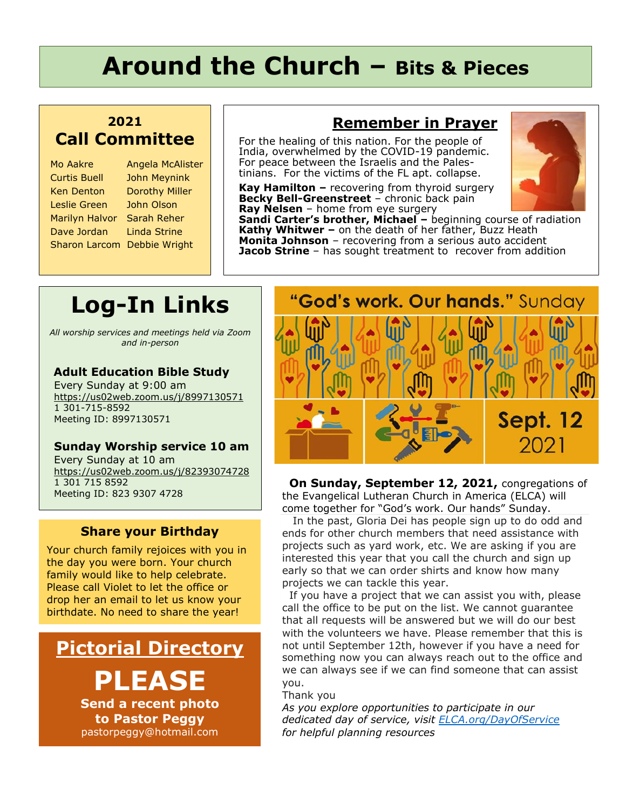# **Around the Church – Bits & Pieces**

### **2021 Call Committee**

| Mo Aakre             | Angela McAlist        |
|----------------------|-----------------------|
| <b>Curtis Buell</b>  | <b>John Meynink</b>   |
| <b>Ken Denton</b>    | <b>Dorothy Miller</b> |
| Leslie Green         | John Olson            |
| Marilyn Halvor       | Sarah Reher           |
| Dave Jordan          | Linda Strine          |
| <b>Sharon Larcom</b> | Debbie Wright         |
|                      |                       |

### **Remember in Prayer Figure**

For the healing of this nation. For the people of India, overwhelmed by the COVID-19 pandemic. For peace between the Israelis and the Palestinians. For the victims of the FL apt. collapse.

**Kay Hamilton –** recovering from thyroid surgery **Becky Bell-Greenstreet** – chronic back pain **Ray Nelsen** – home from eye surgery



**Sandi Carter's brother, Michael –** beginning course of radiation **Kathy Whitwer –** on the death of her father, Buzz Heath **Monita Johnson** – recovering from a serious auto accident **Jacob Strine** – has sought treatment to recover from addition

# **Log-In Links**

**McAlister** 

*All worship services and meetings held via Zoom and in-person*

### **Adult Education Bible Study**

Every Sunday at 9:00 am <https://us02web.zoom.us/j/8997130571> 1 301-715-8592 Meeting ID: 8997130571

### **Sunday Worship service 10 am**

Every Sunday at 10 am <https://us02web.zoom.us/j/82393074728> 1 301 715 8592 Meeting ID: 823 9307 4728

### **Share your Birthday**

Your church family rejoices with you in the day you were born. Your church family would like to help celebrate. Please call Violet to let the office or drop her an email to let us know your birthdate. No need to share the year!

## **Pictorial Directory**

**PLEASE**

**Send a recent photo to Pastor Peggy** pastorpeggy@hotmail.com

# "God's work. Our hands." Sunday **Sept. 12** 2021

 **On Sunday, September 12, 2021,** congregations of the Evangelical Lutheran Church in America (ELCA) will come together for "God's work. Our hands" Sunday.

 In the past, Gloria Dei has people sign up to do odd and ends for other church members that need assistance with projects such as yard work, etc. We are asking if you are interested this year that you call the church and sign up early so that we can order shirts and know how many projects we can tackle this year.

If you have a project that we can assist you with, please call the office to be put on the list. We cannot guarantee that all requests will be answered but we will do our best with the volunteers we have. Please remember that this is not until September 12th, however if you have a need for something now you can always reach out to the office and we can always see if we can find someone that can assist you.

Thank you

*As you explore opportunities to participate in our dedicated day of service, visit [ELCA.org/DayOfService](https://r20.rs6.net/tn.jsp?f=001o3bF15ErjMbMljYnvUNV7-9WC45Qxu5hhOEOuuVMKoNlWVuYCVpN6-yLic_CyRXMe-NKFS-XyKxJI3DsseVp7jfQS77wAHO99HZUaClf5kHgpz-Ckj9jDvTE8QdQk1ds5LXNv1QmzED4g2H2YL4Lswj2RTh0Q8NBv1dDoE9qRTGLAvHSu0mHXnSlnseUUJJbpAHhYKEXXitemC5F9-u5oGsHf5bzTgL0CnV9WtM4EYQr5_BHPsbeEdK-_-dewaDuBtl21VGvrVKWGOhwtRbGNj3wCSOq8xif30BVdNt_8SI8lY6sxVF5lYQDNFUd2SPV8bSYrS0fi0LTFbCiYw1-W08ZimzHDSEC68zxMKlkuGUQYDdxB_D_IXUutiv1DAjLLQ05EAcF4XRSn8vg_zNEO_IxnukXmUrdxTvO2vSQO48jx-Nq7tTq4hZFd4oQd6yzJJ_irJGdZC5dz1rM1caXfB3r-OJTyM880oc4JAbIGHyNixAjH-mMHx2DVv3AZKyh_PVb8IuMOWtsXao82Pc14z2wQ3gt5670QbptRWz4SzVxCpS9VuT3m0b5yK-un2L7K_K3MJrPH-a-KN4kPCPCTckuYwcTpbRhzVSBj06mTpRCpQO2-8mpQKIF_REcr9CA4QKoFwrSlKNH0jglSlebMNmQyZ2MO3fShH-v7W5mzOw3NoZ8NAYqQ1Gv6-dTICMmDXnQZS8U1IPq-cVKEM_hy2hUm61KkGuskcp3cdTuqtq_4QD_hu3NataJwAQ9D6igLJzNEw1n88VQQhBnLKs_Lw==&c=xmsPVdAdpsPMzrIHTzJDHy9CVfvpzvjHXdoBSgIBX6DGUgto7yMcqQ==&ch=WrzVz0BJiVhBn9eMv1OOJt5YyVhiZUBSpkEtCyB0qUFCYVhIJ_xGHw==&jrc=1) for helpful planning resources*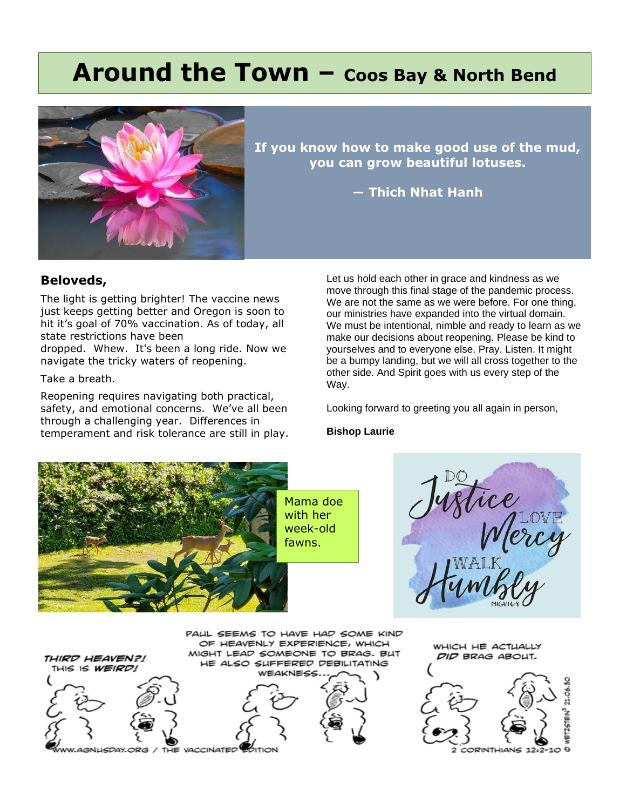## **Around the Town – Coos Bay & North Bend**



**If you know how to make good use of the mud, you can grow beautiful lotuses.**

**― Thich Nhat Hanh**

### **Beloveds,**

The light is getting brighter! The vaccine news just keeps getting better and Oregon is soon to hit it's goal of 70% vaccination. As of today, all state restrictions have been

dropped. Whew. It's been a long ride. Now we navigate the tricky waters of reopening.

Take a breath.

Reopening requires navigating both practical, safety, and emotional concerns. We've all been through a challenging year. Differences in temperament and risk tolerance are still in play.

Let us hold each other in grace and kindness as we move through this final stage of the pandemic process. We are not the same as we were before. For one thing, our ministries have expanded into the virtual domain. We must be intentional, nimble and ready to learn as we make our decisions about reopening. Please be kind to yourselves and to everyone else. Pray. Listen. It might be a bumpy landing, but we will all cross together to the other side. And Spirit goes with us every step of the Way.

Looking forward to greeting you all again in person,

#### **Bishop Laurie**

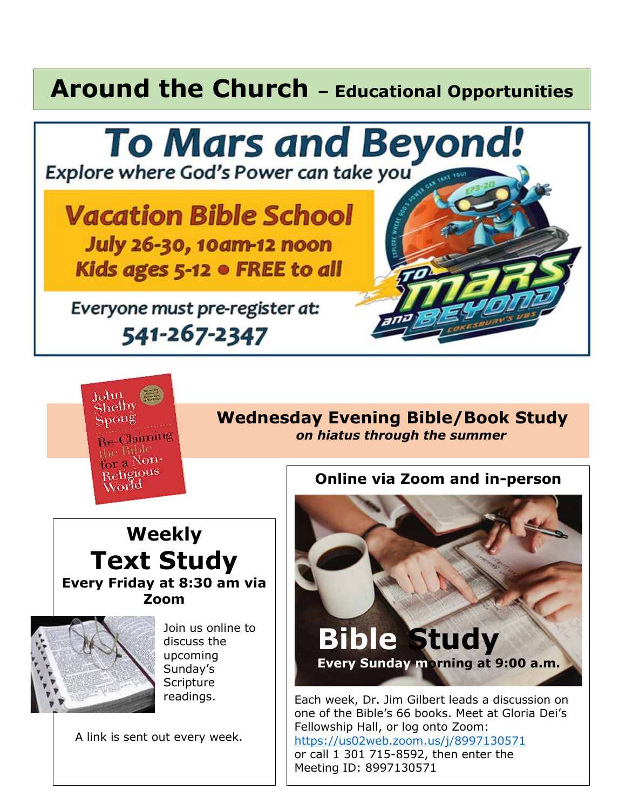# **Around the Church – Educational Opportunities**





## **Shelby Wednesday Evening Bible/Book Study**  *on hiatus through the summer*

## **Weekly Text Study Every Friday at 8:30 am via Zoom**



Join us online to discuss the upcoming Sunday's **Scripture** readings.

A link is sent out every week.

**Online via Zoom and in-person**



Each week, Dr. Jim Gilbert leads a discussion on one of the Bible's 66 books. Meet at Gloria Dei's Fellowship Hall, or log onto Zoom: <https://us02web.zoom.us/j/8997130571> or call 1 301 715-8592, then enter the Meeting ID: 8997130571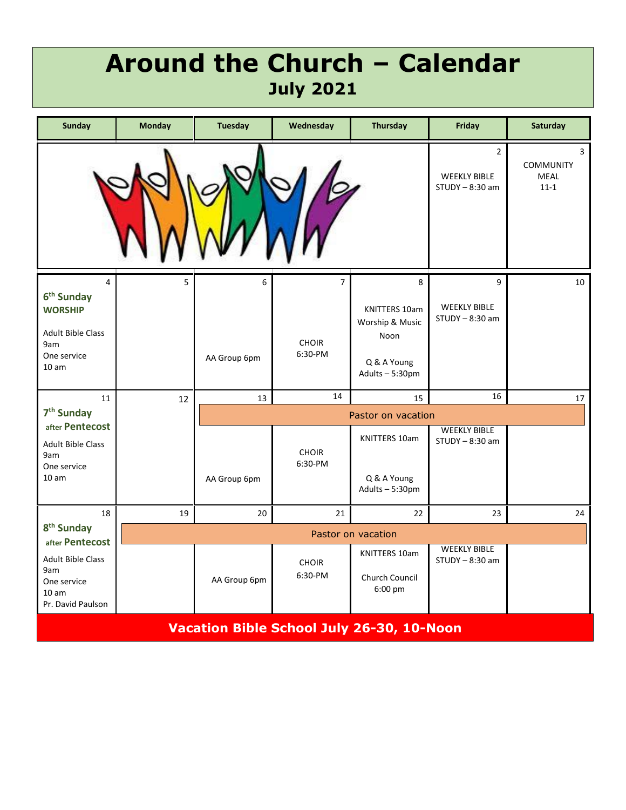## **Around the Church – Calendar July 2021**

| <b>Sunday</b>                                                                                                                    | <b>Monday</b>      | <b>Tuesday</b>     | Wednesday                                 | <b>Thursday</b>                                                               | Friday                                        | <b>Saturday</b> |  |
|----------------------------------------------------------------------------------------------------------------------------------|--------------------|--------------------|-------------------------------------------|-------------------------------------------------------------------------------|-----------------------------------------------|-----------------|--|
| $\overline{2}$<br><b>COMMUNITY</b><br><b>WEEKLY BIBLE</b><br><b>MEAL</b><br>$STUDY - 8:30$ am<br>$11 - 1$                        |                    |                    |                                           |                                                                               |                                               | 3               |  |
| $\overline{4}$<br>6 <sup>th</sup> Sunday<br><b>WORSHIP</b><br><b>Adult Bible Class</b><br>9am<br>One service<br>10 <sub>am</sub> | 5                  | 6<br>AA Group 6pm  | $\overline{7}$<br><b>CHOIR</b><br>6:30-PM | 8<br>KNITTERS 10am<br>Worship & Music<br>Noon<br>Q & A Young<br>Adults-5:30pm | 9<br><b>WEEKLY BIBLE</b><br>$STUDY - 8:30$ am | 10              |  |
| 11                                                                                                                               | 12                 | 13                 | 14                                        | 15                                                                            | 16                                            | 17              |  |
| 7 <sup>th</sup> Sunday                                                                                                           |                    | Pastor on vacation |                                           |                                                                               |                                               |                 |  |
| after Pentecost<br><b>Adult Bible Class</b><br>9am<br>One service<br>10 <sub>am</sub>                                            |                    | AA Group 6pm       | <b>CHOIR</b><br>6:30-PM                   | <b>KNITTERS 10am</b><br>Q & A Young<br>Adults-5:30pm                          | <b>WEEKLY BIBLE</b><br>$STUDY - 8:30$ am      |                 |  |
| 18                                                                                                                               | 19                 | 20                 | 21                                        | 22                                                                            | 23                                            | 24              |  |
| 8 <sup>th</sup> Sunday<br>after Pentecost                                                                                        | Pastor on vacation |                    |                                           |                                                                               |                                               |                 |  |
| <b>Adult Bible Class</b><br>9am<br>One service<br>10 <sub>am</sub><br>Pr. David Paulson                                          |                    | AA Group 6pm       | <b>CHOIR</b><br>6:30-PM                   | <b>KNITTERS 10am</b><br>Church Council<br>6:00 pm                             | <b>WEEKLY BIBLE</b><br>$STUDY - 8:30$ am      |                 |  |
| Vacation Bible School July 26-30, 10-Noon                                                                                        |                    |                    |                                           |                                                                               |                                               |                 |  |